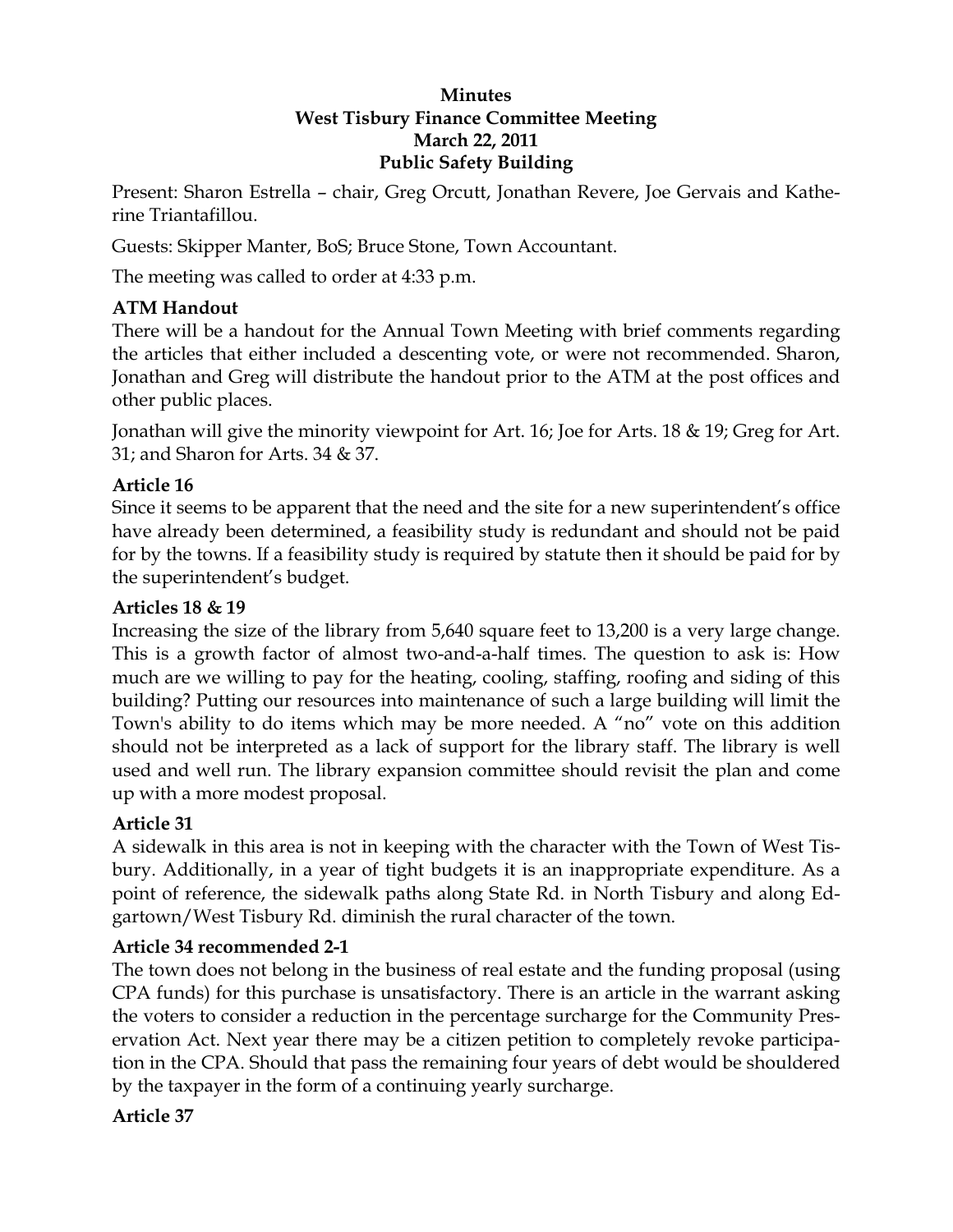#### **Minutes West Tisbury Finance Committee Meeting March 22, 2011 Public Safety Building**

Present: Sharon Estrella – chair, Greg Orcutt, Jonathan Revere, Joe Gervais and Katherine Triantafillou.

Guests: Skipper Manter, BoS; Bruce Stone, Town Accountant.

The meeting was called to order at 4:33 p.m.

## **ATM Handout**

There will be a handout for the Annual Town Meeting with brief comments regarding the articles that either included a descenting vote, or were not recommended. Sharon, Jonathan and Greg will distribute the handout prior to the ATM at the post offices and other public places.

Jonathan will give the minority viewpoint for Art. 16; Joe for Arts. 18 & 19; Greg for Art. 31; and Sharon for Arts. 34 & 37.

## **Article 16**

Since it seems to be apparent that the need and the site for a new superintendent's office have already been determined, a feasibility study is redundant and should not be paid for by the towns. If a feasibility study is required by statute then it should be paid for by the superintendent's budget.

### **Articles 18 & 19**

Increasing the size of the library from 5,640 square feet to 13,200 is a very large change. This is a growth factor of almost two-and-a-half times. The question to ask is: How much are we willing to pay for the heating, cooling, staffing, roofing and siding of this building? Putting our resources into maintenance of such a large building will limit the Town's ability to do items which may be more needed. A "no" vote on this addition should not be interpreted as a lack of support for the library staff. The library is well used and well run. The library expansion committee should revisit the plan and come up with a more modest proposal.

## **Article 31**

A sidewalk in this area is not in keeping with the character with the Town of West Tisbury. Additionally, in a year of tight budgets it is an inappropriate expenditure. As a point of reference, the sidewalk paths along State Rd. in North Tisbury and along Edgartown/West Tisbury Rd. diminish the rural character of the town.

### **Article 34 recommended 2-1**

The town does not belong in the business of real estate and the funding proposal (using CPA funds) for this purchase is unsatisfactory. There is an article in the warrant asking the voters to consider a reduction in the percentage surcharge for the Community Preservation Act. Next year there may be a citizen petition to completely revoke participation in the CPA. Should that pass the remaining four years of debt would be shouldered by the taxpayer in the form of a continuing yearly surcharge.

## **Article 37**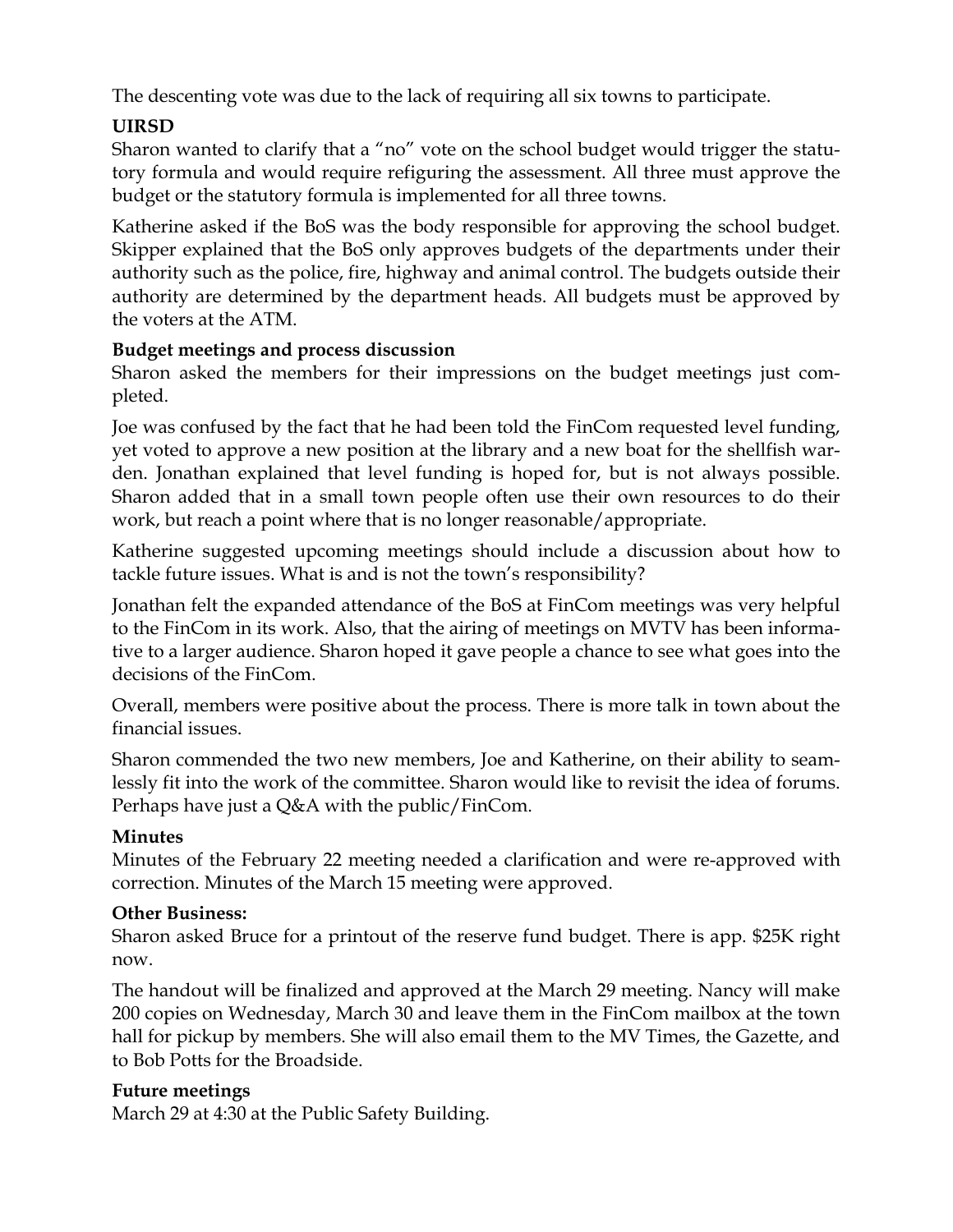The descenting vote was due to the lack of requiring all six towns to participate.

# **UIRSD**

Sharon wanted to clarify that a "no" vote on the school budget would trigger the statutory formula and would require refiguring the assessment. All three must approve the budget or the statutory formula is implemented for all three towns.

Katherine asked if the BoS was the body responsible for approving the school budget. Skipper explained that the BoS only approves budgets of the departments under their authority such as the police, fire, highway and animal control. The budgets outside their authority are determined by the department heads. All budgets must be approved by the voters at the ATM.

### **Budget meetings and process discussion**

Sharon asked the members for their impressions on the budget meetings just completed.

Joe was confused by the fact that he had been told the FinCom requested level funding, yet voted to approve a new position at the library and a new boat for the shellfish warden. Jonathan explained that level funding is hoped for, but is not always possible. Sharon added that in a small town people often use their own resources to do their work, but reach a point where that is no longer reasonable/appropriate.

Katherine suggested upcoming meetings should include a discussion about how to tackle future issues. What is and is not the town's responsibility?

Jonathan felt the expanded attendance of the BoS at FinCom meetings was very helpful to the FinCom in its work. Also, that the airing of meetings on MVTV has been informative to a larger audience. Sharon hoped it gave people a chance to see what goes into the decisions of the FinCom.

Overall, members were positive about the process. There is more talk in town about the financial issues.

Sharon commended the two new members, Joe and Katherine, on their ability to seamlessly fit into the work of the committee. Sharon would like to revisit the idea of forums. Perhaps have just a Q&A with the public/FinCom.

### **Minutes**

Minutes of the February 22 meeting needed a clarification and were re-approved with correction. Minutes of the March 15 meeting were approved.

### **Other Business:**

Sharon asked Bruce for a printout of the reserve fund budget. There is app. \$25K right now.

The handout will be finalized and approved at the March 29 meeting. Nancy will make 200 copies on Wednesday, March 30 and leave them in the FinCom mailbox at the town hall for pickup by members. She will also email them to the MV Times, the Gazette, and to Bob Potts for the Broadside.

### **Future meetings**

March 29 at 4:30 at the Public Safety Building.